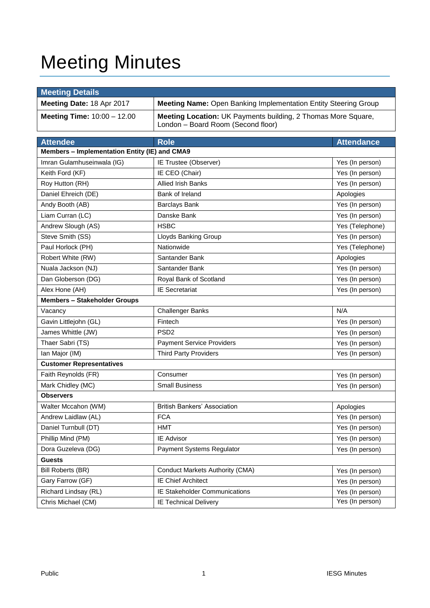# Meeting Minutes

| <b>Meeting Details</b>                        |                                                                                                     |                   |  |  |  |
|-----------------------------------------------|-----------------------------------------------------------------------------------------------------|-------------------|--|--|--|
| Meeting Date: 18 Apr 2017                     | <b>Meeting Name: Open Banking Implementation Entity Steering Group</b>                              |                   |  |  |  |
| <b>Meeting Time: 10:00 - 12.00</b>            | Meeting Location: UK Payments building, 2 Thomas More Square,<br>London - Board Room (Second floor) |                   |  |  |  |
| <b>Attendee</b>                               | <b>Role</b>                                                                                         | <b>Attendance</b> |  |  |  |
| Members - Implementation Entity (IE) and CMA9 |                                                                                                     |                   |  |  |  |
| Imran Gulamhuseinwala (IG)                    | IE Trustee (Observer)                                                                               | Yes (In person)   |  |  |  |
| Keith Ford (KF)                               | IE CEO (Chair)                                                                                      | Yes (In person)   |  |  |  |
| Roy Hutton (RH)                               | <b>Allied Irish Banks</b>                                                                           | Yes (In person)   |  |  |  |
| Daniel Ehreich (DE)                           | Bank of Ireland                                                                                     | Apologies         |  |  |  |
| Andy Booth (AB)                               | <b>Barclays Bank</b>                                                                                | Yes (In person)   |  |  |  |
| Liam Curran (LC)                              | Danske Bank                                                                                         | Yes (In person)   |  |  |  |
| Andrew Slough (AS)                            | <b>HSBC</b>                                                                                         | Yes (Telephone)   |  |  |  |
| Steve Smith (SS)                              | Lloyds Banking Group                                                                                | Yes (In person)   |  |  |  |
| Paul Horlock (PH)                             | Nationwide                                                                                          | Yes (Telephone)   |  |  |  |
| Robert White (RW)                             | Santander Bank                                                                                      | Apologies         |  |  |  |
| Nuala Jackson (NJ)                            | Santander Bank                                                                                      | Yes (In person)   |  |  |  |
| Dan Globerson (DG)                            | Royal Bank of Scotland                                                                              | Yes (In person)   |  |  |  |
| Alex Hone (AH)                                | <b>IE Secretariat</b>                                                                               | Yes (In person)   |  |  |  |
| <b>Members - Stakeholder Groups</b>           |                                                                                                     |                   |  |  |  |
| Vacancy                                       | <b>Challenger Banks</b>                                                                             | N/A               |  |  |  |
| Gavin Littlejohn (GL)                         | Fintech                                                                                             | Yes (In person)   |  |  |  |
| James Whittle (JW)                            | PSD <sub>2</sub>                                                                                    | Yes (In person)   |  |  |  |
| Thaer Sabri (TS)                              | <b>Payment Service Providers</b>                                                                    | Yes (In person)   |  |  |  |
| Ian Major (IM)                                | <b>Third Party Providers</b>                                                                        | Yes (In person)   |  |  |  |
| <b>Customer Representatives</b>               |                                                                                                     |                   |  |  |  |
| Faith Reynolds (FR)                           | Consumer                                                                                            | Yes (In person)   |  |  |  |
| Mark Chidley (MC)                             | <b>Small Business</b>                                                                               | Yes (In person)   |  |  |  |
| <b>Observers</b>                              |                                                                                                     |                   |  |  |  |
| Walter Mccahon (WM)                           | <b>British Bankers' Association</b>                                                                 | Apologies         |  |  |  |
| Andrew Laidlaw (AL)                           | <b>FCA</b>                                                                                          | Yes (In person)   |  |  |  |
| Daniel Turnbull (DT)                          | <b>HMT</b>                                                                                          | Yes (In person)   |  |  |  |
| Phillip Mind (PM)                             | IE Advisor                                                                                          | Yes (In person)   |  |  |  |
| Dora Guzeleva (DG)                            | Payment Systems Regulator                                                                           | Yes (In person)   |  |  |  |
| <b>Guests</b>                                 |                                                                                                     |                   |  |  |  |
| <b>Bill Roberts (BR)</b>                      | <b>Conduct Markets Authority (CMA)</b>                                                              | Yes (In person)   |  |  |  |
| Gary Farrow (GF)                              | <b>IE Chief Architect</b>                                                                           | Yes (In person)   |  |  |  |
| Richard Lindsay (RL)                          | IE Stakeholder Communications                                                                       | Yes (In person)   |  |  |  |
| Chris Michael (CM)                            | <b>IE Technical Delivery</b>                                                                        | Yes (In person)   |  |  |  |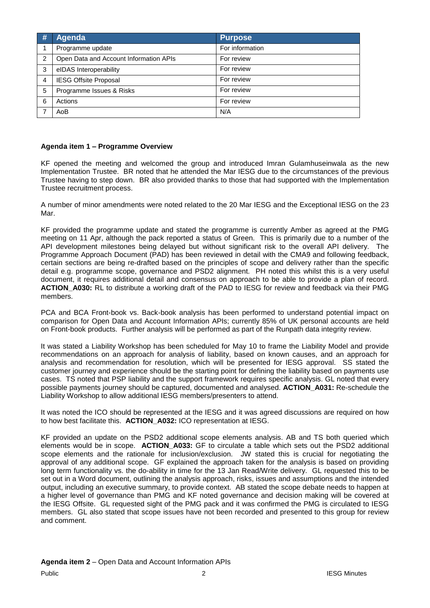| # | Agenda                                 | Purpose         |
|---|----------------------------------------|-----------------|
|   | Programme update                       | For information |
| 2 | Open Data and Account Information APIs | For review      |
| 3 | eIDAS Interoperability                 | For review      |
| 4 | <b>IESG Offsite Proposal</b>           | For review      |
| 5 | Programme Issues & Risks               | For review      |
| 6 | Actions                                | For review      |
|   | AoB                                    | N/A             |

### **Agenda item 1 – Programme Overview**

KF opened the meeting and welcomed the group and introduced Imran Gulamhuseinwala as the new Implementation Trustee. BR noted that he attended the Mar IESG due to the circumstances of the previous Trustee having to step down. BR also provided thanks to those that had supported with the Implementation Trustee recruitment process.

A number of minor amendments were noted related to the 20 Mar IESG and the Exceptional IESG on the 23 Mar.

KF provided the programme update and stated the programme is currently Amber as agreed at the PMG meeting on 11 Apr, although the pack reported a status of Green. This is primarily due to a number of the API development milestones being delayed but without significant risk to the overall API delivery. The Programme Approach Document (PAD) has been reviewed in detail with the CMA9 and following feedback, certain sections are being re-drafted based on the principles of scope and delivery rather than the specific detail e.g. programme scope, governance and PSD2 alignment. PH noted this whilst this is a very useful document, it requires additional detail and consensus on approach to be able to provide a plan of record. **ACTION\_A030:** RL to distribute a working draft of the PAD to IESG for review and feedback via their PMG members.

PCA and BCA Front-book vs. Back-book analysis has been performed to understand potential impact on comparison for Open Data and Account Information APIs; currently 85% of UK personal accounts are held on Front-book products. Further analysis will be performed as part of the Runpath data integrity review.

It was stated a Liability Workshop has been scheduled for May 10 to frame the Liability Model and provide recommendations on an approach for analysis of liability, based on known causes, and an approach for analysis and recommendation for resolution, which will be presented for IESG approval. SS stated the customer journey and experience should be the starting point for defining the liability based on payments use cases. TS noted that PSP liability and the support framework requires specific analysis. GL noted that every possible payments journey should be captured, documented and analysed. **ACTION\_A031:** Re-schedule the Liability Workshop to allow additional IESG members/presenters to attend.

It was noted the ICO should be represented at the IESG and it was agreed discussions are required on how to how best facilitate this. **ACTION\_A032:** ICO representation at IESG.

KF provided an update on the PSD2 additional scope elements analysis. AB and TS both queried which elements would be in scope. **ACTION\_A033:** GF to circulate a table which sets out the PSD2 additional scope elements and the rationale for inclusion/exclusion. JW stated this is crucial for negotiating the approval of any additional scope. GF explained the approach taken for the analysis is based on providing long term functionality vs. the do-ability in time for the 13 Jan Read/Write delivery. GL requested this to be set out in a Word document, outlining the analysis approach, risks, issues and assumptions and the intended output, including an executive summary, to provide context. AB stated the scope debate needs to happen at a higher level of governance than PMG and KF noted governance and decision making will be covered at the IESG Offsite. GL requested sight of the PMG pack and it was confirmed the PMG is circulated to IESG members. GL also stated that scope issues have not been recorded and presented to this group for review and comment.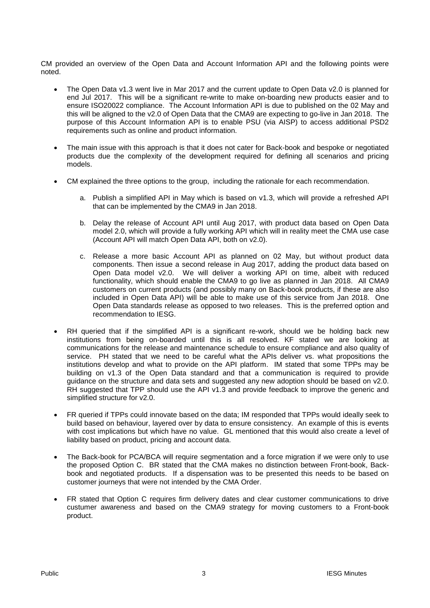CM provided an overview of the Open Data and Account Information API and the following points were noted.

- The Open Data v1.3 went live in Mar 2017 and the current update to Open Data v2.0 is planned for end Jul 2017. This will be a significant re-write to make on-boarding new products easier and to ensure ISO20022 compliance. The Account Information API is due to published on the 02 May and this will be aligned to the v2.0 of Open Data that the CMA9 are expecting to go-live in Jan 2018. The purpose of this Account Information API is to enable PSU (via AISP) to access additional PSD2 requirements such as online and product information.
- The main issue with this approach is that it does not cater for Back-book and bespoke or negotiated products due the complexity of the development required for defining all scenarios and pricing models.
- CM explained the three options to the group, including the rationale for each recommendation.
	- a. Publish a simplified API in May which is based on v1.3, which will provide a refreshed API that can be implemented by the CMA9 in Jan 2018.
	- b. Delay the release of Account API until Aug 2017, with product data based on Open Data model 2.0, which will provide a fully working API which will in reality meet the CMA use case (Account API will match Open Data API, both on v2.0).
	- c. Release a more basic Account API as planned on 02 May, but without product data components. Then issue a second release in Aug 2017, adding the product data based on Open Data model v2.0. We will deliver a working API on time, albeit with reduced functionality, which should enable the CMA9 to go live as planned in Jan 2018. All CMA9 customers on current products (and possibly many on Back-book products, if these are also included in Open Data API) will be able to make use of this service from Jan 2018. One Open Data standards release as opposed to two releases. This is the preferred option and recommendation to IESG.
- RH queried that if the simplified API is a significant re-work, should we be holding back new institutions from being on-boarded until this is all resolved. KF stated we are looking at communications for the release and maintenance schedule to ensure compliance and also quality of service. PH stated that we need to be careful what the APIs deliver vs. what propositions the institutions develop and what to provide on the API platform. IM stated that some TPPs may be building on v1.3 of the Open Data standard and that a communication is required to provide guidance on the structure and data sets and suggested any new adoption should be based on v2.0. RH suggested that TPP should use the API v1.3 and provide feedback to improve the generic and simplified structure for v2.0.
- FR queried if TPPs could innovate based on the data; IM responded that TPPs would ideally seek to build based on behaviour, layered over by data to ensure consistency. An example of this is events with cost implications but which have no value. GL mentioned that this would also create a level of liability based on product, pricing and account data.
- The Back-book for PCA/BCA will require segmentation and a force migration if we were only to use the proposed Option C. BR stated that the CMA makes no distinction between Front-book, Backbook and negotiated products. If a dispensation was to be presented this needs to be based on customer journeys that were not intended by the CMA Order.
- FR stated that Option C requires firm delivery dates and clear customer communications to drive custumer awareness and based on the CMA9 strategy for moving customers to a Front-book product.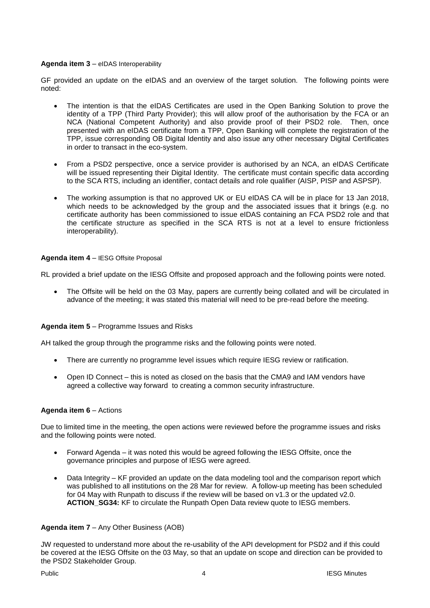### **Agenda item 3** – eIDAS Interoperability

GF provided an update on the eIDAS and an overview of the target solution. The following points were noted:

- The intention is that the eIDAS Certificates are used in the Open Banking Solution to prove the identity of a TPP (Third Party Provider); this will allow proof of the authorisation by the FCA or an NCA (National Competent Authority) and also provide proof of their PSD2 role. Then, once presented with an eIDAS certificate from a TPP, Open Banking will complete the registration of the TPP, issue corresponding OB Digital Identity and also issue any other necessary Digital Certificates in order to transact in the eco-system.
- From a PSD2 perspective, once a service provider is authorised by an NCA, an eIDAS Certificate will be issued representing their Digital Identity. The certificate must contain specific data according to the SCA RTS, including an identifier, contact details and role qualifier (AISP, PISP and ASPSP).
- The working assumption is that no approved UK or EU eIDAS CA will be in place for 13 Jan 2018, which needs to be acknowledged by the group and the associated issues that it brings (e.g. no certificate authority has been commissioned to issue eIDAS containing an FCA PSD2 role and that the certificate structure as specified in the SCA RTS is not at a level to ensure frictionless interoperability).

#### **Agenda item 4** – IESG Offsite Proposal

RL provided a brief update on the IESG Offsite and proposed approach and the following points were noted.

 The Offsite will be held on the 03 May, papers are currently being collated and will be circulated in advance of the meeting; it was stated this material will need to be pre-read before the meeting.

## **Agenda item 5** – Programme Issues and Risks

AH talked the group through the programme risks and the following points were noted.

- There are currently no programme level issues which require IESG review or ratification.
- Open ID Connect this is noted as closed on the basis that the CMA9 and IAM vendors have agreed a collective way forward to creating a common security infrastructure.

#### **Agenda item 6** – Actions

Due to limited time in the meeting, the open actions were reviewed before the programme issues and risks and the following points were noted.

- Forward Agenda it was noted this would be agreed following the IESG Offsite, once the governance principles and purpose of IESG were agreed.
- Data Integrity KF provided an update on the data modeling tool and the comparison report which was published to all institutions on the 28 Mar for review. A follow-up meeting has been scheduled for 04 May with Runpath to discuss if the review will be based on v1.3 or the updated v2.0. **ACTION\_SG34:** KF to circulate the Runpath Open Data review quote to IESG members.

#### **Agenda item 7** – Any Other Business (AOB)

JW requested to understand more about the re-usability of the API development for PSD2 and if this could be covered at the IESG Offsite on the 03 May, so that an update on scope and direction can be provided to the PSD2 Stakeholder Group.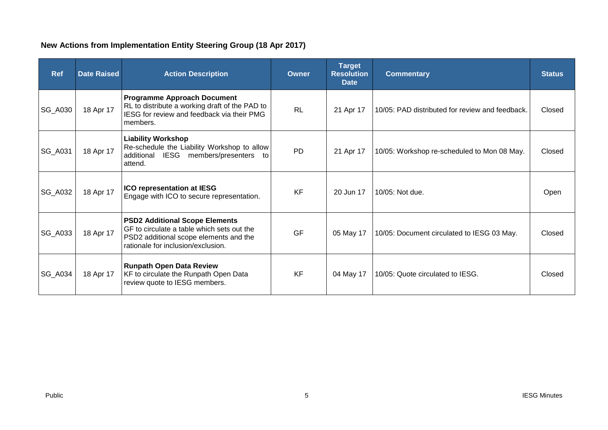# **New Actions from Implementation Entity Steering Group (18 Apr 2017)**

| <b>Ref</b>     | <b>Date Raised</b> | <b>Action Description</b>                                                                                                                                           | <b>Owner</b> | <b>Target</b><br><b>Resolution</b><br><b>Date</b> | <b>Commentary</b>                               | <b>Status</b> |
|----------------|--------------------|---------------------------------------------------------------------------------------------------------------------------------------------------------------------|--------------|---------------------------------------------------|-------------------------------------------------|---------------|
| <b>SG_A030</b> | 18 Apr 17          | <b>Programme Approach Document</b><br>RL to distribute a working draft of the PAD to<br>IESG for review and feedback via their PMG<br>members.                      | <b>RL</b>    | 21 Apr 17                                         | 10/05: PAD distributed for review and feedback. | Closed        |
| SG_A031        | 18 Apr 17          | <b>Liability Workshop</b><br>Re-schedule the Liability Workshop to allow<br>additional IESG members/presenters<br>to<br>attend.                                     | <b>PD</b>    | 21 Apr 17                                         | 10/05: Workshop re-scheduled to Mon 08 May.     | Closed        |
| <b>SG_A032</b> | 18 Apr 17          | <b>ICO representation at IESG</b><br>Engage with ICO to secure representation.                                                                                      | <b>KF</b>    | 20 Jun 17                                         | 10/05: Not due.                                 | Open          |
| <b>SG_A033</b> | 18 Apr 17          | <b>PSD2 Additional Scope Elements</b><br>GF to circulate a table which sets out the<br>PSD2 additional scope elements and the<br>rationale for inclusion/exclusion. | GF           | 05 May 17                                         | 10/05: Document circulated to IESG 03 May.      | Closed        |
| <b>SG_A034</b> | 18 Apr 17          | <b>Runpath Open Data Review</b><br>KF to circulate the Runpath Open Data<br>review quote to IESG members.                                                           | <b>KF</b>    | 04 May 17                                         | 10/05: Quote circulated to IESG.                | Closed        |